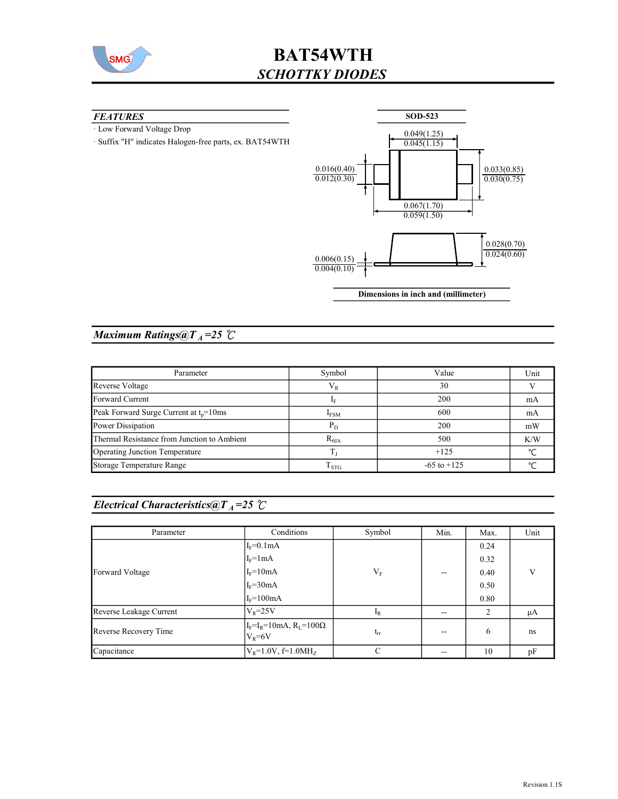

### **FEATURES**

· Low Forward Voltage Drop

· Suffix "H" indicates Halogen-free parts, ex. BAT54WTH



## Maximum Ratings@ $T_A = 25$  °C

| Parameter                                   | Symbol           | Value           | Unit   |
|---------------------------------------------|------------------|-----------------|--------|
| Reverse Voltage                             | $\rm V_R$        | 30              |        |
| Forward Current                             |                  | 200             | mA     |
| Peak Forward Surge Current at $t_n = 10$ ms | I <sub>FSM</sub> | 600             | mA     |
| Power Dissipation                           | $P_D$            | 200             | mW     |
| Thermal Resistance from Junction to Ambient | $R_{\theta JA}$  | 500             | K/W    |
| Operating Junction Temperature              |                  | $+125$          | $\sim$ |
| Storage Temperature Range                   | $1_{STG}$        | $-65$ to $+125$ |        |

## Electrical Characteristics@T<sub>A</sub>=25  $\mathcal{C}$

| Parameter               | Conditions                                        | Symbol    | Min.  | Max. | Unit |
|-------------------------|---------------------------------------------------|-----------|-------|------|------|
|                         | $I_F=0.1mA$                                       |           |       | 0.24 |      |
|                         | $I_F = 1 mA$                                      |           |       | 0.32 |      |
| Forward Voltage         | $I_F = 10mA$                                      | $\rm V_F$ | $- -$ | 0.40 | V    |
|                         | $I_F = 30mA$                                      |           |       | 0.50 |      |
|                         | $I_F = 100mA$                                     |           |       | 0.80 |      |
| Reverse Leakage Current | $V_{\rm R} = 25V$                                 | $I_R$     | $-$   | 2    | μA   |
| Reverse Recovery Time   | $I_F = I_R = 10mA, R_L = 100\Omega$<br>$V_R = 6V$ | $t_{rr}$  | $- -$ | 6    | ns   |
| Capacitance             | $V_R = 1.0V$ , f=1.0MH <sub>z</sub>               | C         |       | 10   | pF   |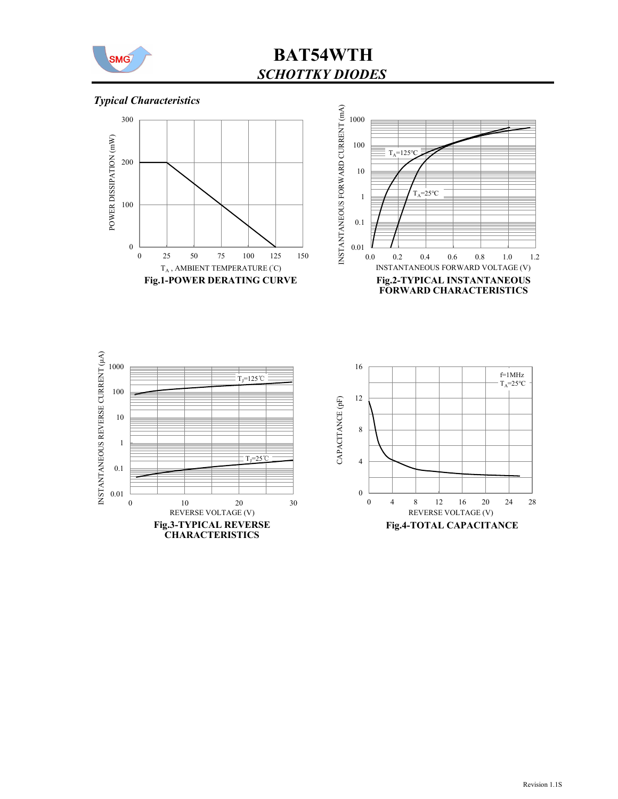

## Typical Characteristics







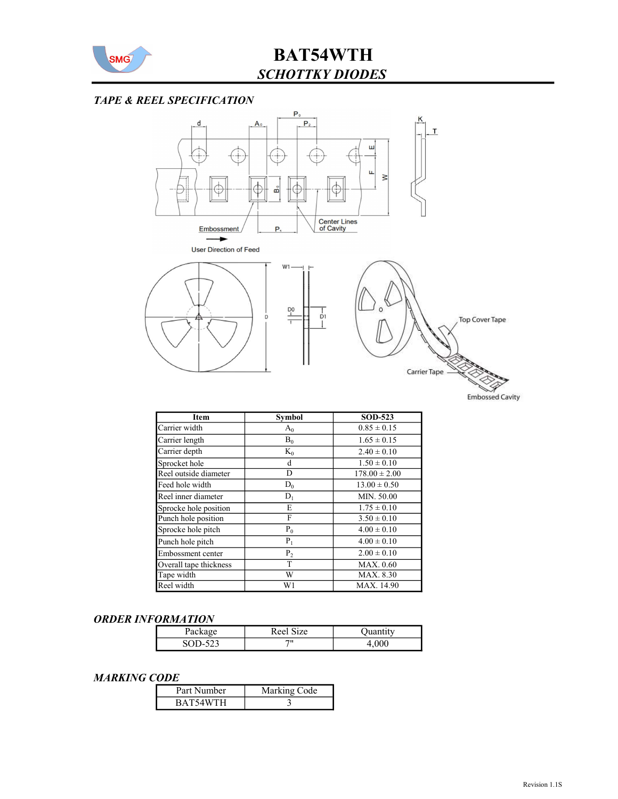

### TAPE & REEL SPECIFICATION



| Item                   | Symbol         | <b>SOD-523</b>    |
|------------------------|----------------|-------------------|
| Carrier width          | $A_0$          | $0.85 \pm 0.15$   |
| Carrier length         | $B_0$          | $1.65 \pm 0.15$   |
| Carrier depth          | $K_0$          | $2.40 \pm 0.10$   |
| Sprocket hole          | d              | $1.50 \pm 0.10$   |
| Reel outside diameter  | D              | $178.00 \pm 2.00$ |
| Feed hole width        | $D_0$          | $13.00 \pm 0.50$  |
| Reel inner diameter    | $D_1$          | MIN. 50.00        |
| Sprocke hole position  | E              | $1.75 \pm 0.10$   |
| Punch hole position    | F              | $3.50 \pm 0.10$   |
| Sprocke hole pitch     | $P_0$          | $4.00 \pm 0.10$   |
| Punch hole pitch       | $P_1$          | $4.00 \pm 0.10$   |
| Embossment center      | P <sub>2</sub> | $2.00 \pm 0.10$   |
| Overall tape thickness | T              | MAX. 0.60         |
| Tape width             | W              | MAX. 8.30         |
| Reel width             | W1             | MAX. 14.90        |

#### ORDER INFORMATION

| гаска  | $\sim$<br>ize<br>R ee |     |
|--------|-----------------------|-----|
| <br>رے | 711                   | vvv |

#### MARKING CODE

| Part Number | Marking Code |
|-------------|--------------|
| BAT54WTH    |              |